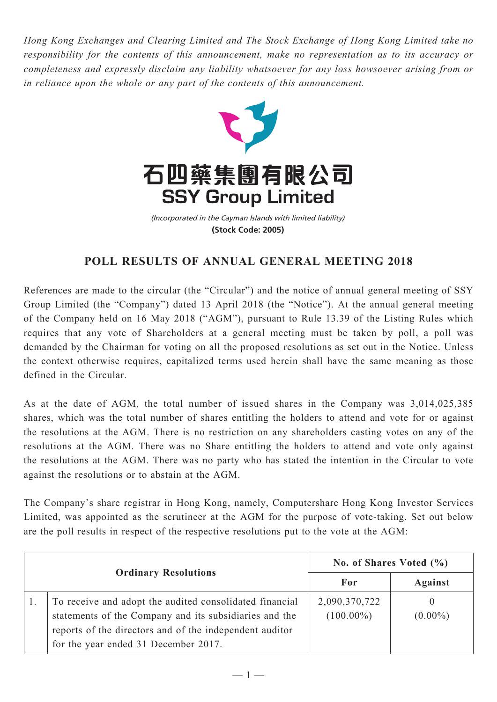*Hong Kong Exchanges and Clearing Limited and The Stock Exchange of Hong Kong Limited take no responsibility for the contents of this announcement, make no representation as to its accuracy or completeness and expressly disclaim any liability whatsoever for any loss howsoever arising from or in reliance upon the whole or any part of the contents of this announcement.*



(Incorporated in the Cayman Islands with limited liability) **(Stock Code: 2005)**

## **POLL RESULTS OF ANNUAL GENERAL MEETING 2018**

References are made to the circular (the "Circular") and the notice of annual general meeting of SSY Group Limited (the "Company") dated 13 April 2018 (the "Notice"). At the annual general meeting of the Company held on 16 May 2018 ("AGM"), pursuant to Rule 13.39 of the Listing Rules which requires that any vote of Shareholders at a general meeting must be taken by poll, a poll was demanded by the Chairman for voting on all the proposed resolutions as set out in the Notice. Unless the context otherwise requires, capitalized terms used herein shall have the same meaning as those defined in the Circular.

As at the date of AGM, the total number of issued shares in the Company was 3,014,025,385 shares, which was the total number of shares entitling the holders to attend and vote for or against the resolutions at the AGM. There is no restriction on any shareholders casting votes on any of the resolutions at the AGM. There was no Share entitling the holders to attend and vote only against the resolutions at the AGM. There was no party who has stated the intention in the Circular to vote against the resolutions or to abstain at the AGM.

The Company's share registrar in Hong Kong, namely, Computershare Hong Kong Investor Services Limited, was appointed as the scrutineer at the AGM for the purpose of vote-taking. Set out below are the poll results in respect of the respective resolutions put to the vote at the AGM:

| <b>Ordinary Resolutions</b> |                                                                                                                                                                                                                      | No. of Shares Voted $(\% )$   |                 |
|-----------------------------|----------------------------------------------------------------------------------------------------------------------------------------------------------------------------------------------------------------------|-------------------------------|-----------------|
|                             |                                                                                                                                                                                                                      | For                           | <b>Against</b>  |
|                             | To receive and adopt the audited consolidated financial<br>statements of the Company and its subsidiaries and the<br>reports of the directors and of the independent auditor<br>for the year ended 31 December 2017. | 2,090,370,722<br>$(100.00\%)$ | 0<br>$(0.00\%)$ |